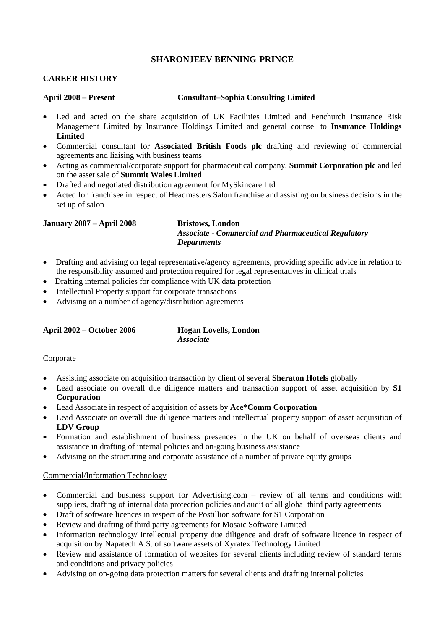# **SHARONJEEV BENNING-PRINCE**

### **CAREER HISTORY**

#### **April 2008 – Present Consultant–Sophia Consulting Limited**

- Led and acted on the share acquisition of UK Facilities Limited and Fenchurch Insurance Risk Management Limited by Insurance Holdings Limited and general counsel to **Insurance Holdings Limited**
- Commercial consultant for **Associated British Foods plc** drafting and reviewing of commercial agreements and liaising with business teams
- Acting as commercial/corporate support for pharmaceutical company, **Summit Corporation plc** and led on the asset sale of **Summit Wales Limited**
- Drafted and negotiated distribution agreement for MySkincare Ltd
- Acted for franchisee in respect of Headmasters Salon franchise and assisting on business decisions in the set up of salon

#### **January 2007 – April 2008 Bristows, London**

# *Associate - Commercial and Pharmaceutical Regulatory Departments*

- Drafting and advising on legal representative/agency agreements, providing specific advice in relation to the responsibility assumed and protection required for legal representatives in clinical trials
- Drafting internal policies for compliance with UK data protection
- Intellectual Property support for corporate transactions
- Advising on a number of agency/distribution agreements

**Hogan Lovells, London** *Associate* 

#### Corporate

- Assisting associate on acquisition transaction by client of several **Sheraton Hotels** globally
- Lead associate on overall due diligence matters and transaction support of asset acquisition by **S1 Corporation**
- Lead Associate in respect of acquisition of assets by **Ace\*Comm Corporation**
- Lead Associate on overall due diligence matters and intellectual property support of asset acquisition of **LDV Group**
- Formation and establishment of business presences in the UK on behalf of overseas clients and assistance in drafting of internal policies and on-going business assistance
- Advising on the structuring and corporate assistance of a number of private equity groups

#### Commercial/Information Technology

- Commercial and business support for Advertising.com review of all terms and conditions with suppliers, drafting of internal data protection policies and audit of all global third party agreements
- Draft of software licences in respect of the Postillion software for S1 Corporation
- Review and drafting of third party agreements for Mosaic Software Limited
- Information technology/ intellectual property due diligence and draft of software licence in respect of acquisition by Napatech A.S. of software assets of Xyratex Technology Limited
- Review and assistance of formation of websites for several clients including review of standard terms and conditions and privacy policies
- Advising on on-going data protection matters for several clients and drafting internal policies